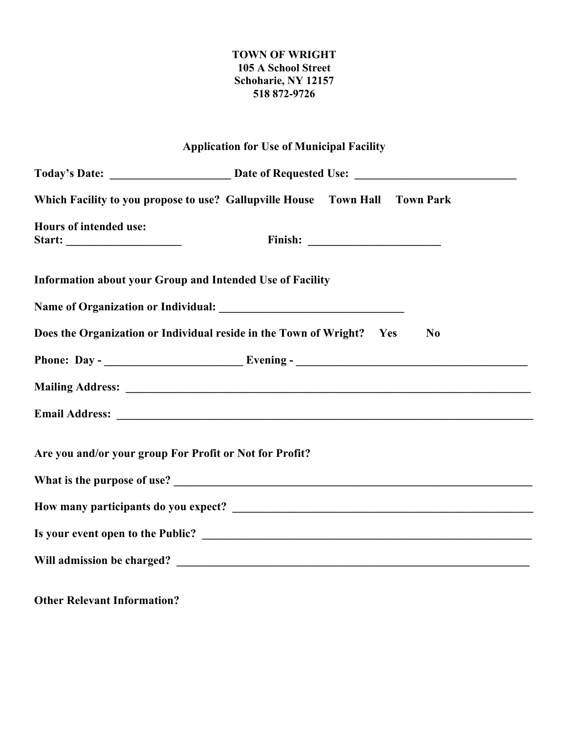## **TOWN OF WRIGHT 105 A School Street Schoharie, NY 12157 518 872-9726**

| <b>Application for Use of Municipal Facility</b>                            |  |                |  |  |
|-----------------------------------------------------------------------------|--|----------------|--|--|
|                                                                             |  |                |  |  |
| Which Facility to you propose to use? Gallupville House Town Hall Town Park |  |                |  |  |
| Hours of intended use:                                                      |  |                |  |  |
| Information about your Group and Intended Use of Facility                   |  |                |  |  |
|                                                                             |  |                |  |  |
| Does the Organization or Individual reside in the Town of Wright? Yes       |  | N <sub>0</sub> |  |  |
|                                                                             |  |                |  |  |
|                                                                             |  |                |  |  |
|                                                                             |  |                |  |  |
| Are you and/or your group For Profit or Not for Profit?                     |  |                |  |  |
|                                                                             |  |                |  |  |
|                                                                             |  |                |  |  |
|                                                                             |  |                |  |  |
|                                                                             |  |                |  |  |

**Other Relevant Information?**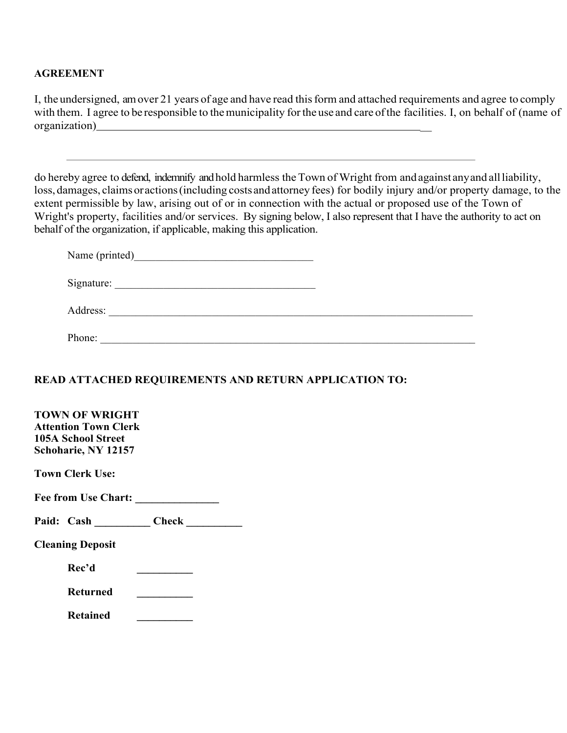### **AGREEMENT**

I, the undersigned, amover 21 years of age and have read this form and attached requirements and agree to comply with them. I agree to be responsible to the municipality for the use and care of the facilities. I, on behalf of (name of organization)

do hereby agree to defend, indemnify and hold harmless the Town of Wright from andagainst anyand allliability, loss, damages, claims or actions (including costs and attorney fees) for bodily injury and/or property damage, to the extent permissible by law, arising out of or in connection with the actual or proposed use of the Town of Wright's property, facilities and/or services. By signing below, I also represent that I have the authority to act on behalf of the organization, if applicable, making this application.

| Name (printed) |  |
|----------------|--|
| Signature:     |  |
| Address:       |  |
| Phone:         |  |

# **READ ATTACHED REQUIREMENTS AND RETURN APPLICATION TO:**

| <b>TOWN OF WRIGHT</b>       |       |  |
|-----------------------------|-------|--|
| <b>Attention Town Clerk</b> |       |  |
| 105A School Street          |       |  |
| Schoharie, NY 12157         |       |  |
| Town Clerk Use:             |       |  |
| <b>Fee from Use Chart:</b>  |       |  |
| Paid: Cash                  | Check |  |
| <b>Cleaning Deposit</b>     |       |  |
| Rec'd                       |       |  |
| <b>Returned</b>             |       |  |
| <b>Retained</b>             |       |  |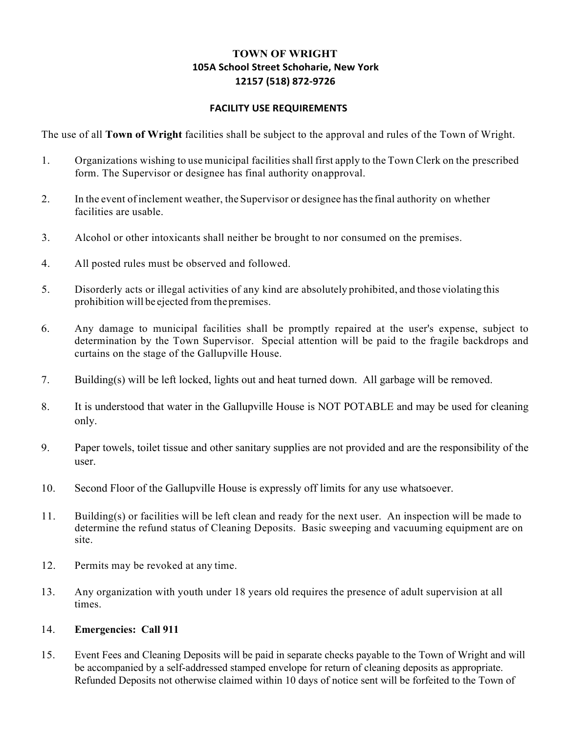## **TOWN OF WRIGHT 105A School Street Schoharie, New York 12157 (518) 872-9726**

#### **FACILITY USE REQUIREMENTS**

The use of all **Town of Wright** facilities shall be subject to the approval and rules of the Town of Wright.

- 1. Organizations wishing to use municipal facilities shall first apply to the Town Clerk on the prescribed form. The Supervisor or designee has final authority onapproval.
- 2. In the event ofinclement weather, the Supervisor or designee hasthe final authority on whether facilities are usable.
- 3. Alcohol or other intoxicants shall neither be brought to nor consumed on the premises.
- 4. All posted rules must be observed and followed.
- 5. Disorderly acts or illegal activities of any kind are absolutely prohibited, and those violating this prohibition will be ejected from thepremises.
- 6. Any damage to municipal facilities shall be promptly repaired at the user's expense, subject to determination by the Town Supervisor. Special attention will be paid to the fragile backdrops and curtains on the stage of the Gallupville House.
- 7. Building(s) will be left locked, lights out and heat turned down. All garbage will be removed.
- 8. It is understood that water in the Gallupville House is NOT POTABLE and may be used for cleaning only.
- 9. Paper towels, toilet tissue and other sanitary supplies are not provided and are the responsibility of the user.
- 10. Second Floor of the Gallupville House is expressly off limits for any use whatsoever.
- 11. Building(s) or facilities will be left clean and ready for the next user. An inspection will be made to determine the refund status of Cleaning Deposits. Basic sweeping and vacuuming equipment are on site.
- 12. Permits may be revoked at any time.
- 13. Any organization with youth under 18 years old requires the presence of adult supervision at all times.

#### 14. **Emergencies: Call 911**

15. Event Fees and Cleaning Deposits will be paid in separate checks payable to the Town of Wright and will be accompanied by a self-addressed stamped envelope for return of cleaning deposits as appropriate. Refunded Deposits not otherwise claimed within 10 days of notice sent will be forfeited to the Town of